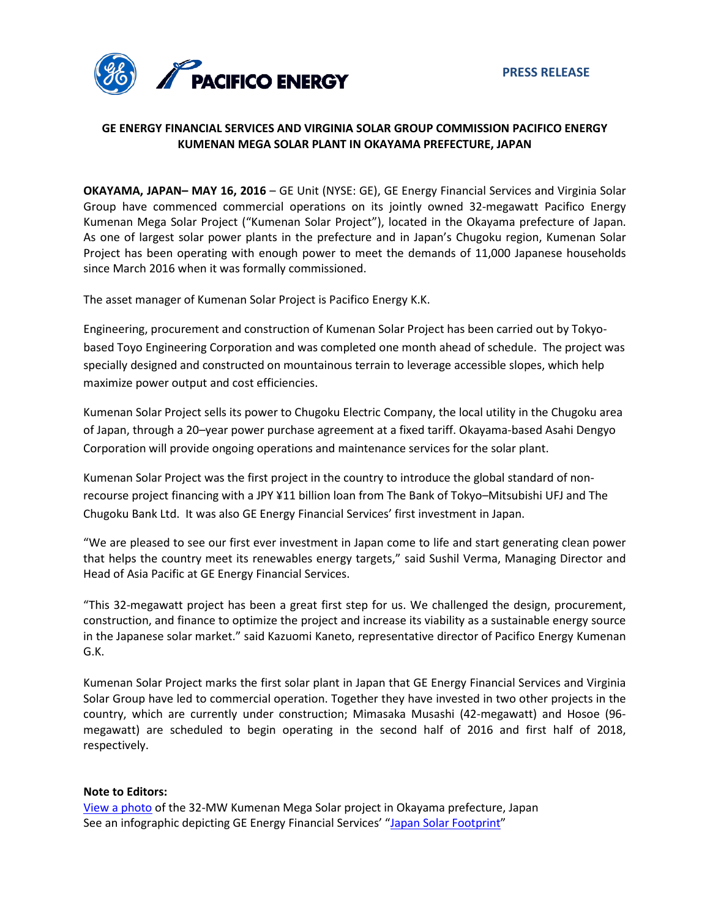

# **GE ENERGY FINANCIAL SERVICES AND VIRGINIA SOLAR GROUP COMMISSION PACIFICO ENERGY KUMENAN MEGA SOLAR PLANT IN OKAYAMA PREFECTURE, JAPAN**

**OKAYAMA, JAPAN– MAY 16, 2016** – GE Unit (NYSE: GE), GE Energy Financial Services and Virginia Solar Group have commenced commercial operations on its jointly owned 32-megawatt Pacifico Energy Kumenan Mega Solar Project ("Kumenan Solar Project"), located in the Okayama prefecture of Japan. As one of largest solar power plants in the prefecture and in Japan's Chugoku region, Kumenan Solar Project has been operating with enough power to meet the demands of 11,000 Japanese households since March 2016 when it was formally commissioned.

The asset manager of Kumenan Solar Project is Pacifico Energy K.K.

Engineering, procurement and construction of Kumenan Solar Project has been carried out by Tokyobased Toyo Engineering Corporation and was completed one month ahead of schedule. The project was specially designed and constructed on mountainous terrain to leverage accessible slopes, which help maximize power output and cost efficiencies.

Kumenan Solar Project sells its power to Chugoku Electric Company, the local utility in the Chugoku area of Japan, through a 20–year power purchase agreement at a fixed tariff. Okayama-based Asahi Dengyo Corporation will provide ongoing operations and maintenance services for the solar plant.

Kumenan Solar Project was the first project in the country to introduce the global standard of nonrecourse project financing with a JPY ¥11 billion loan from The Bank of Tokyo–Mitsubishi UFJ and The Chugoku Bank Ltd. It was also GE Energy Financial Services' first investment in Japan.

"We are pleased to see our first ever investment in Japan come to life and start generating clean power that helps the country meet its renewables energy targets," said Sushil Verma, Managing Director and Head of Asia Pacific at GE Energy Financial Services.

"This 32-megawatt project has been a great first step for us. We challenged the design, procurement, construction, and finance to optimize the project and increase its viability as a sustainable energy source in the Japanese solar market." said Kazuomi Kaneto, representative director of Pacifico Energy Kumenan G.K.

Kumenan Solar Project marks the first solar plant in Japan that GE Energy Financial Services and Virginia Solar Group have led to commercial operation. Together they have invested in two other projects in the country, which are currently under construction; Mimasaka Musashi (42-megawatt) and Hosoe (96 megawatt) are scheduled to begin operating in the second half of 2016 and first half of 2018, respectively.

### **Note to Editors:**

[View a photo](http://geenergyfinancialservices.com/img/press-releases/Kumenan.jpg) of the 32-MW Kumenan Mega Solar project in Okayama prefecture, Japan See an infographic depicting GE Energy Financial Services' ["Japan Solar Footprint"](http://geenergyfinancialservices.com/img/press-releases/Japan%20V2.jpg)